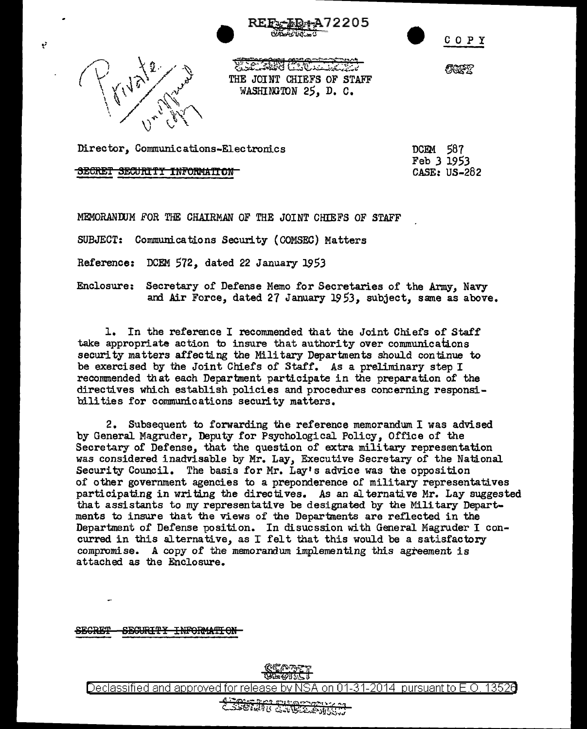





Ý

**WEIGHTS COOLER** THE JOINT CHIEFS OF STAFF WASHINGTON 25, D. C.

**COFT** 

Director, Communications-Electronics

SECRET SECURITY INFORMATION

DCEM 587 Feb *3* 1953 *CASE:* US-282

MEMORANDUM FOR THE CHAIRMAN OF THE JOINT CHIEFS OF STAFF

SUBJECT: Communications Security (GOMSEC) Matters

Reference: DCEM 572, dated 22 January 1953

Enclosure: Secretary of Defense Memo for Secretaries of the Army, Navy and Air Force, dated 27 January 19 53, subject, same as above.

1. In the reference I recommended that the Joint Chiefs of Staff take appropriate action to insure that authority over communications security matters affecting the Military Departments should continue to be exercised by the Joint Chiefs of Staff. As a preliminary step I recornmended that each Department participate in the preparation of the directives which establish policies and procedures concerning responsibilities for communications security matters.

2. Subsequent to forwarding the reference memorandum I was advised by General Magruder, Deputy for Psychological Policy, Office of the Secretary of Defense, that the question of extra military representation was considered inadvisable by Mr. Lay, Executive Secretary of the National Security Council. The basis for Mr. Lay's advice was the opposition of other government agencies to a preponderance of military representatives participating in writing the directives. As an alternative Mr. Lay suggested that assistants to my representative be designated by the Military Departments to insure that the views of the Departments are reflected in the Department of Defense position. In disucssion with General Magruder I concurred in this alternative, as I felt that this would be a satisfactory compromise. A copy of the memorandum implementing this agreement is attached as the Enclosure.

SEGRET - SEGURITY INFORMATION



Declassified and approved for release by NSA on 01-31-2014 pursuant to E.O. 13526

ECRIP EXPRESSIV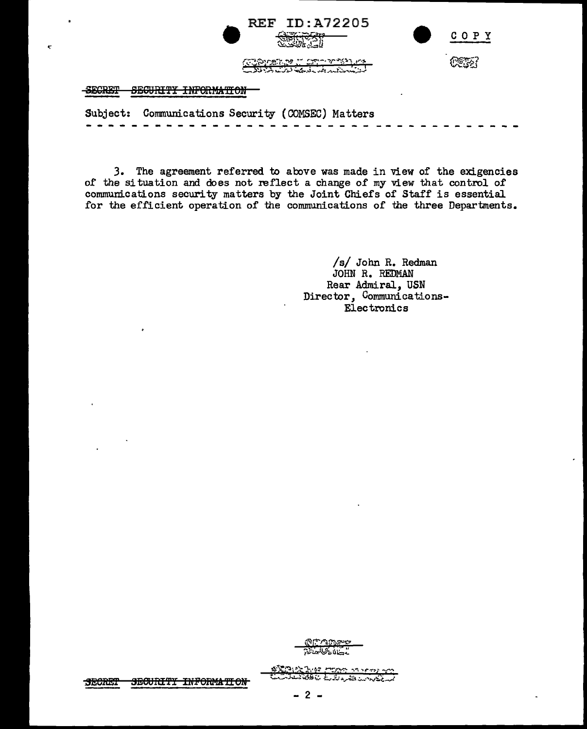| REF ID: A72205<br><b>GUIDE CONTACT</b>                                            | COPY |
|-----------------------------------------------------------------------------------|------|
| <u>Comment of Commentance</u>                                                     |      |
| eroprm<br>GROUDING INDONLARIAN<br><b>MOTHETT TELEVILLE IN A</b><br><b>BUDITER</b> |      |

Subject: Communications Security ( COI".SEC) Matters - - - - - - - - - - - - - - - -- - - - - - - - - -- - -- - - -- - - --

*3.* The agreement referred to above was made in view of the exigencies of the situation and does not reflect a change of my view that control of communications security matters by the Joint Chiefs of Staff is essential for the efficient operation of the communications of the three Departments.

> /s/ John R. Redman JOHN R. REDMAN Rear Admiral, USN Director, Communications-Electronics

@r-raT>fr-'~  $7.000027$ 

¢'&,~i=<l;:t.·e:z -~~ .. ,.,, .,r-:-,.~ *.. r-* **t;..C, ..** J~~·~5r:;:,, **L.d..; ...** ~ *..:.... ..* ·"'1o.1~i-r

*•:*